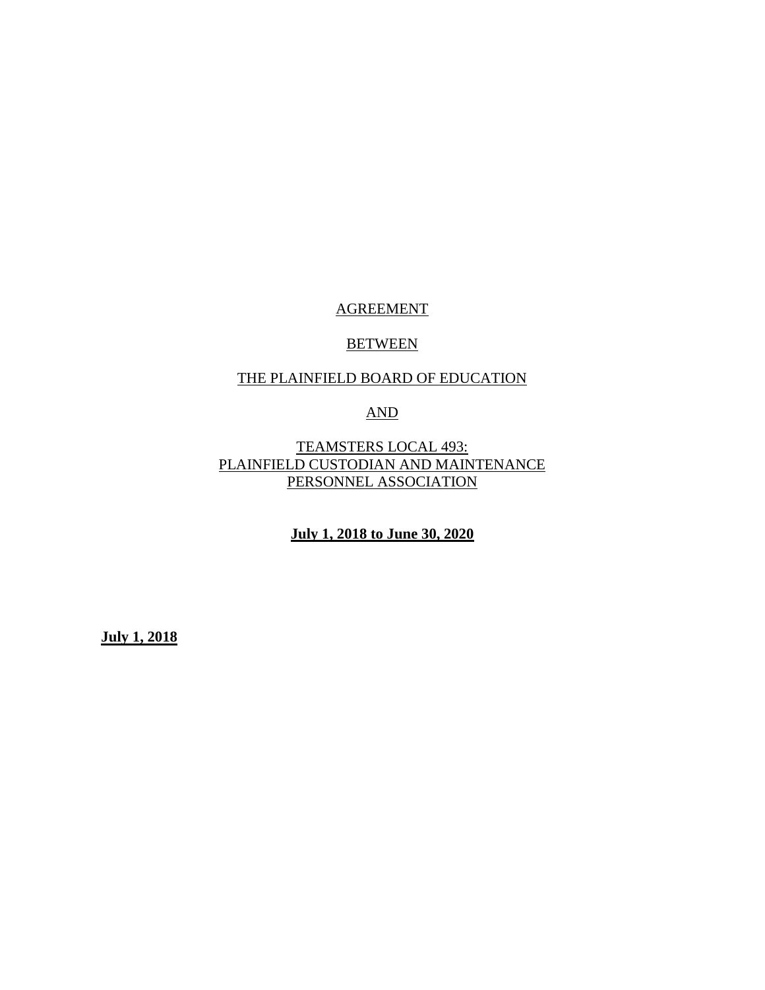# AGREEMENT

#### **BETWEEN**

## THE PLAINFIELD BOARD OF EDUCATION

# AND

TEAMSTERS LOCAL 493: PLAINFIELD CUSTODIAN AND MAINTENANCE PERSONNEL ASSOCIATION

**July 1, 2018 to June 30, 2020**

**July 1, 2018**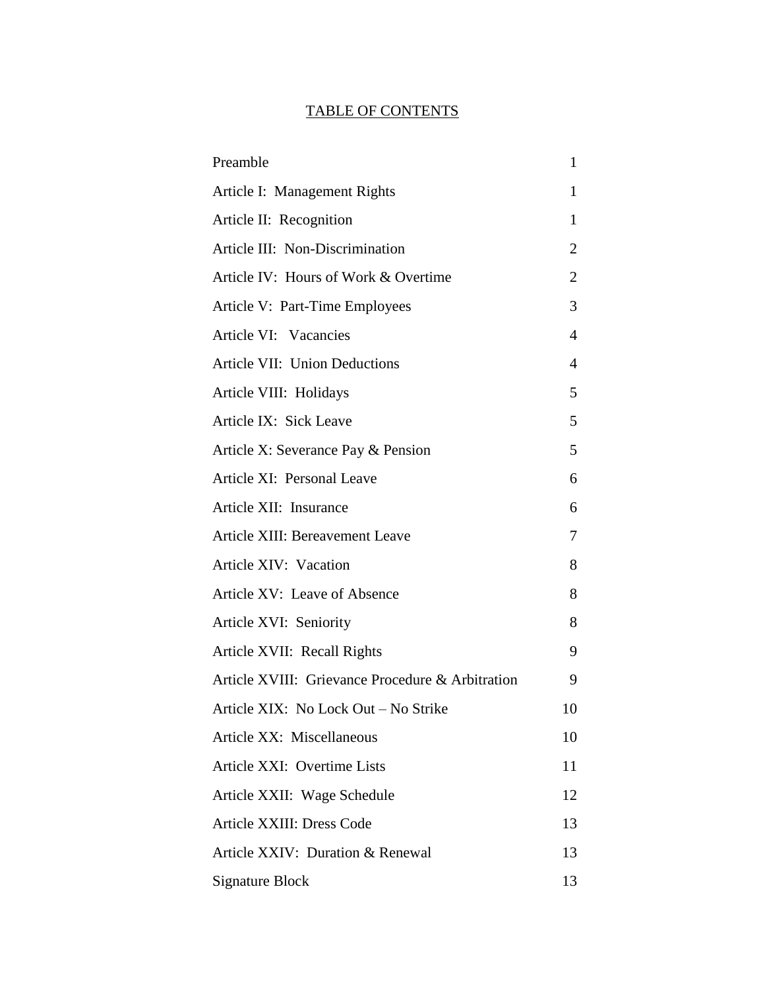# TABLE OF CONTENTS

| Preamble                                         | 1  |
|--------------------------------------------------|----|
| Article I: Management Rights                     | 1  |
| Article II: Recognition                          | 1  |
| Article III: Non-Discrimination                  | 2  |
| Article IV: Hours of Work & Overtime             | 2  |
| Article V: Part-Time Employees                   | 3  |
| Article VI: Vacancies                            | 4  |
| Article VII: Union Deductions                    | 4  |
| Article VIII: Holidays                           | 5  |
| Article IX: Sick Leave                           | 5  |
| Article X: Severance Pay & Pension               | 5  |
| Article XI: Personal Leave                       | 6  |
| Article XII: Insurance                           | 6  |
| Article XIII: Bereavement Leave                  | 7  |
| Article XIV: Vacation                            | 8  |
| Article XV: Leave of Absence                     | 8  |
| Article XVI: Seniority                           | 8  |
| Article XVII: Recall Rights                      | 9  |
| Article XVIII: Grievance Procedure & Arbitration | 9  |
| Article XIX: No Lock Out - No Strike             | 10 |
| Article XX: Miscellaneous                        | 10 |
| Article XXI: Overtime Lists                      | 11 |
| Article XXII: Wage Schedule                      | 12 |
| Article XXIII: Dress Code                        | 13 |
| Article XXIV: Duration & Renewal                 | 13 |
| <b>Signature Block</b>                           | 13 |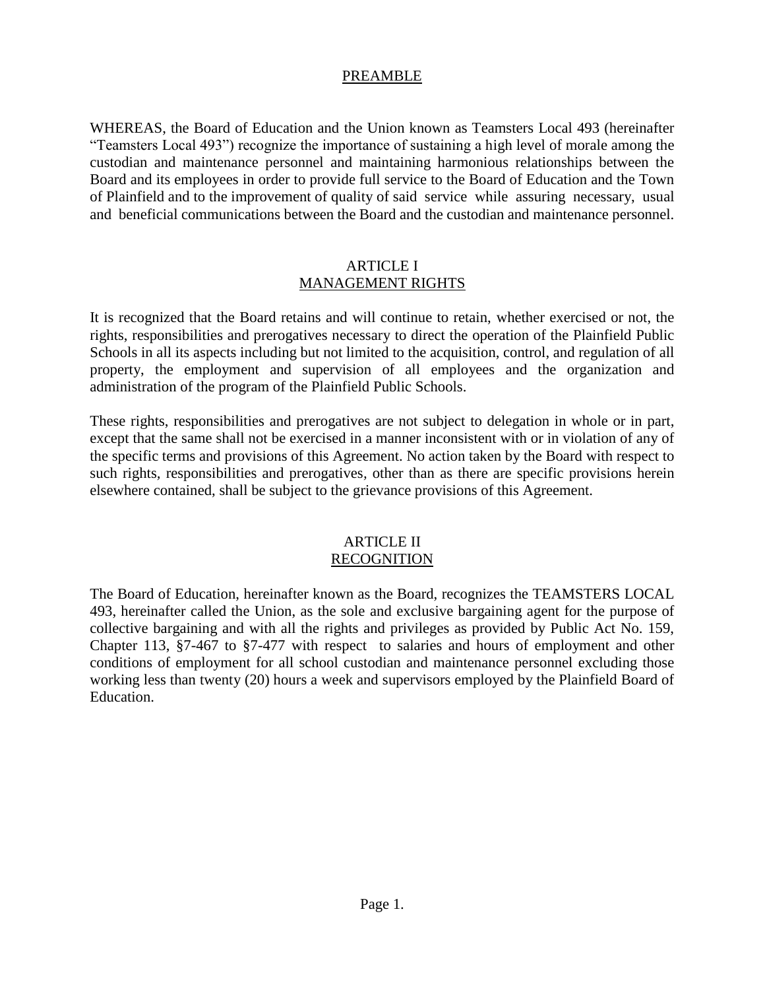#### PREAMBLE

WHEREAS, the Board of Education and the Union known as Teamsters Local 493 (hereinafter "Teamsters Local 493") recognize the importance of sustaining a high level of morale among the custodian and maintenance personnel and maintaining harmonious relationships between the Board and its employees in order to provide full service to the Board of Education and the Town of Plainfield and to the improvement of quality of saidservice while assuring necessary, usual and beneficial communications between the Board and the custodian and maintenance personnel.

#### ARTICLE I MANAGEMENT RIGHTS

It is recognized that the Board retains and will continue to retain, whether exercised or not, the rights, responsibilities and prerogatives necessary to direct the operation of the Plainfield Public Schools in all its aspects including but not limited to the acquisition, control, and regulation of all property, the employment and supervision of all employees and the organization and administration of the program of the Plainfield Public Schools.

These rights, responsibilities and prerogatives are not subject to delegation in whole or in part, except that the same shall not be exercised in a manner inconsistent with or in violation of any of the specific terms and provisions of this Agreement. No action taken by the Board with respect to such rights*,* responsibilities and prerogatives*,* other than as there are specific provisions herein elsewhere contained, shall be subject to the grievance provisions of this Agreement.

#### ARTICLE II RECOGNITION

The Board of Education, hereinafter known as the Board, recognizes the TEAMSTERS LOCAL 493, hereinafter called the Union, as the sole and exclusive bargaining agent for the purpose of collective bargaining and with all the rights and privileges as provided by Public Act No. 159, Chapter 113, §7-467 to §7-477 with respect to salaries and hours of employment and other conditions of employment for all school custodian and maintenance personnel excluding those working less than twenty (20) hours a week and supervisors employed by the Plainfield Board of Education.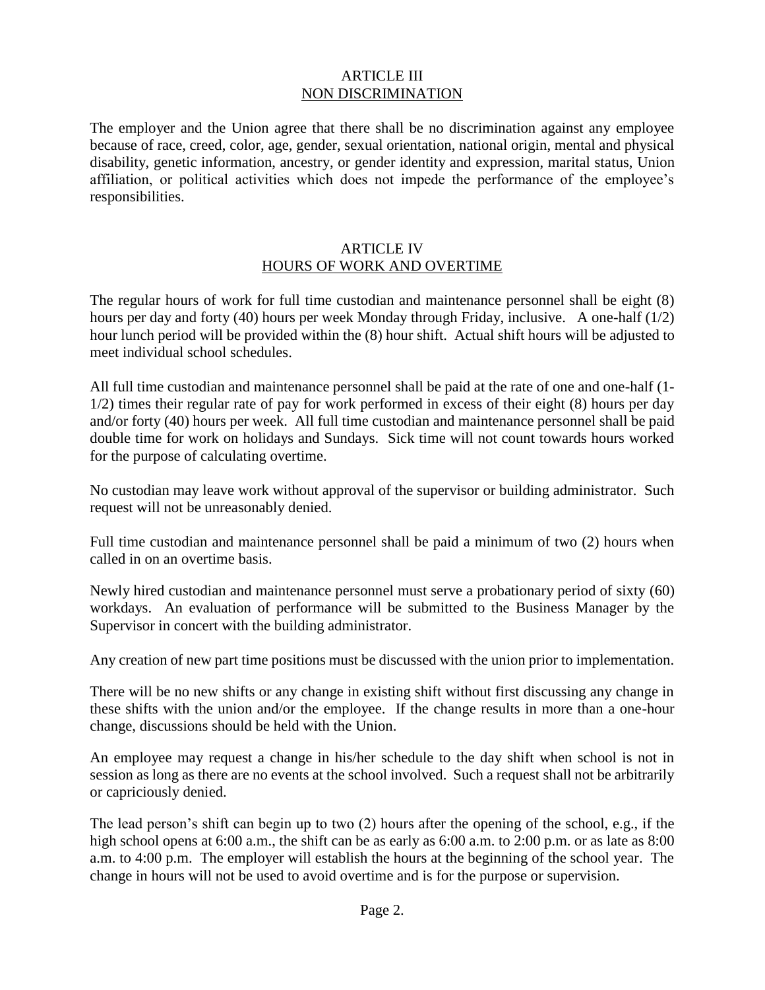#### ARTICLE III NON DISCRIMINATION

The employer and the Union agree that there shall be no discrimination against any employee because of race, creed, color, age, gender, sexual orientation, national origin, mental and physical disability, genetic information, ancestry, or gender identity and expression, marital status, Union affiliation, or political activities which does not impede the performance of the employee's responsibilities.

#### ARTICLE IV HOURS OF WORK AND OVERTIME

The regular hours of work for full time custodian and maintenance personnel shall be eight (8) hours per day and forty (40) hours per week Monday through Friday, inclusive. A one-half (1/2) hour lunch period will be provided within the (8) hour shift. Actual shift hours will be adjusted to meet individual school schedules.

All full time custodian and maintenance personnel shall be paid at the rate of one and one-half (1- 1/2) times their regular rate of pay for work performed in excess of their eight (8) hours per day and/or forty (40) hours per week. All full time custodian and maintenance personnel shall be paid double time for work on holidays and Sundays. Sick time will not count towards hours worked for the purpose of calculating overtime.

No custodian may leave work without approval of the supervisor or building administrator. Such request will not be unreasonably denied.

Full time custodian and maintenance personnel shall be paid a minimum of two (2) hours when called in on an overtime basis.

Newly hired custodian and maintenance personnel must serve a probationary period of sixty (60) workdays. An evaluation of performance will be submitted to the Business Manager by the Supervisor in concert with the building administrator.

Any creation of new part time positions must be discussed with the union prior to implementation.

There will be no new shifts or any change in existing shift without first discussing any change in these shifts with the union and/or the employee. If the change results in more than a one-hour change, discussions should be held with the Union.

An employee may request a change in his/her schedule to the day shift when school is not in session as long as there are no events at the school involved. Such a request shall not be arbitrarily or capriciously denied.

The lead person's shift can begin up to two (2) hours after the opening of the school, e.g., if the high school opens at 6:00 a.m., the shift can be as early as 6:00 a.m. to 2:00 p.m. or as late as 8:00 a.m. to 4:00 p.m. The employer will establish the hours at the beginning of the school year. The change in hours will not be used to avoid overtime and is for the purpose or supervision.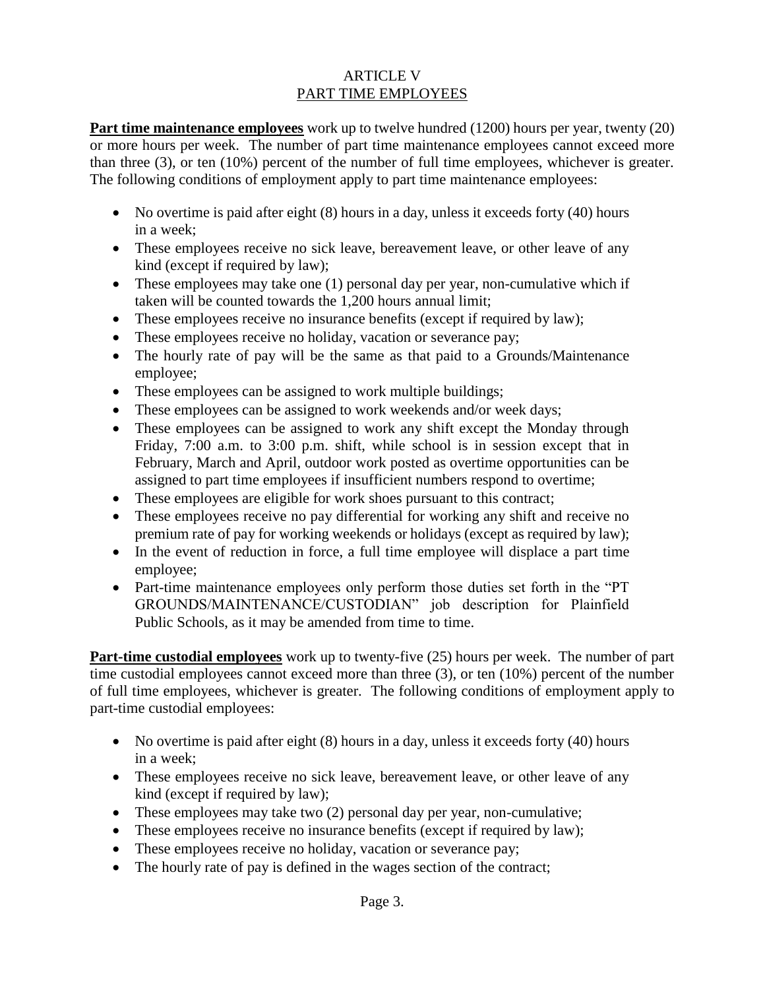# ARTICLE V PART TIME EMPLOYEES

**Part time maintenance employees** work up to twelve hundred (1200) hours per year, twenty (20) or more hours per week. The number of part time maintenance employees cannot exceed more than three (3), or ten (10%) percent of the number of full time employees, whichever is greater. The following conditions of employment apply to part time maintenance employees:

- $\bullet$  No overtime is paid after eight (8) hours in a day, unless it exceeds forty (40) hours in a week;
- These employees receive no sick leave, bereavement leave, or other leave of any kind (except if required by law);
- These employees may take one (1) personal day per year, non-cumulative which if taken will be counted towards the 1,200 hours annual limit;
- These employees receive no insurance benefits (except if required by law);
- These employees receive no holiday, vacation or severance pay;
- The hourly rate of pay will be the same as that paid to a Grounds/Maintenance employee;
- These employees can be assigned to work multiple buildings;
- These employees can be assigned to work weekends and/or week days;
- These employees can be assigned to work any shift except the Monday through Friday, 7:00 a.m. to 3:00 p.m. shift, while school is in session except that in February, March and April, outdoor work posted as overtime opportunities can be assigned to part time employees if insufficient numbers respond to overtime;
- These employees are eligible for work shoes pursuant to this contract;
- These employees receive no pay differential for working any shift and receive no premium rate of pay for working weekends or holidays (except as required by law);
- In the event of reduction in force, a full time employee will displace a part time employee;
- Part-time maintenance employees only perform those duties set forth in the "PT GROUNDS/MAINTENANCE/CUSTODIAN" job description for Plainfield Public Schools, as it may be amended from time to time.

**Part-time custodial employees** work up to twenty-five (25) hours per week. The number of part time custodial employees cannot exceed more than three (3), or ten (10%) percent of the number of full time employees, whichever is greater. The following conditions of employment apply to part-time custodial employees:

- $\bullet$  No overtime is paid after eight (8) hours in a day, unless it exceeds forty (40) hours in a week;
- These employees receive no sick leave, bereavement leave, or other leave of any kind (except if required by law);
- These employees may take two (2) personal day per year, non-cumulative;
- These employees receive no insurance benefits (except if required by law);
- These employees receive no holiday, vacation or severance pay;
- The hourly rate of pay is defined in the wages section of the contract;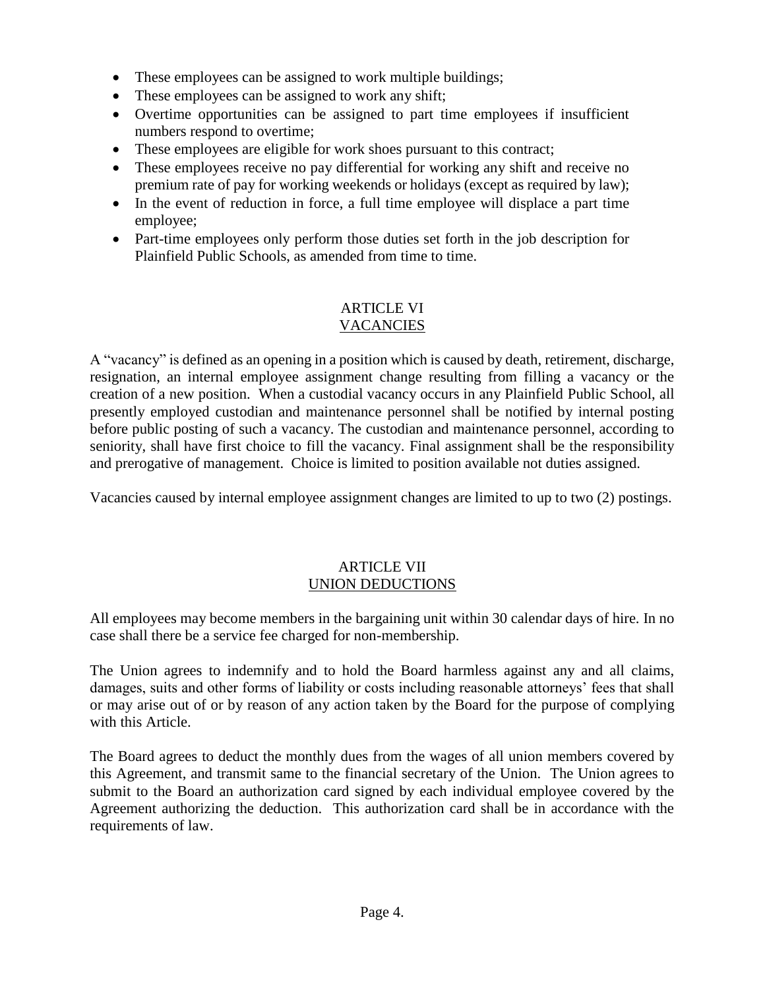- These employees can be assigned to work multiple buildings;
- These employees can be assigned to work any shift;
- Overtime opportunities can be assigned to part time employees if insufficient numbers respond to overtime;
- These employees are eligible for work shoes pursuant to this contract;
- These employees receive no pay differential for working any shift and receive no premium rate of pay for working weekends or holidays (except as required by law);
- In the event of reduction in force, a full time employee will displace a part time employee;
- Part-time employees only perform those duties set forth in the job description for Plainfield Public Schools, as amended from time to time.

#### ARTICLE VI VACANCIES

A "vacancy" is defined as an opening in a position which is caused by death, retirement, discharge, resignation, an internal employee assignment change resulting from filling a vacancy or the creation of a new position. When a custodial vacancy occurs in any Plainfield Public School, all presently employed custodian and maintenance personnel shall be notified by internal posting before public posting of such a vacancy. The custodian and maintenance personnel, according to seniority, shall have first choice to fill the vacancy. Final assignment shall be the responsibility and prerogative of management. Choice is limited to position available not duties assigned.

Vacancies caused by internal employee assignment changes are limited to up to two (2) postings.

# ARTICLE VII UNION DEDUCTIONS

All employees may become members in the bargaining unit within 30 calendar days of hire. In no case shall there be a service fee charged for non-membership.

The Union agrees to indemnify and to hold the Board harmless against any and all claims, damages, suits and other forms of liability or costs including reasonable attorneys' fees that shall or may arise out of or by reason of any action taken by the Board for the purpose of complying with this Article.

The Board agrees to deduct the monthly dues from the wages of all union members covered by this Agreement, and transmit same to the financial secretary of the Union. The Union agrees to submit to the Board an authorization card signed by each individual employee covered by the Agreement authorizing the deduction. This authorization card shall be in accordance with the requirements of law.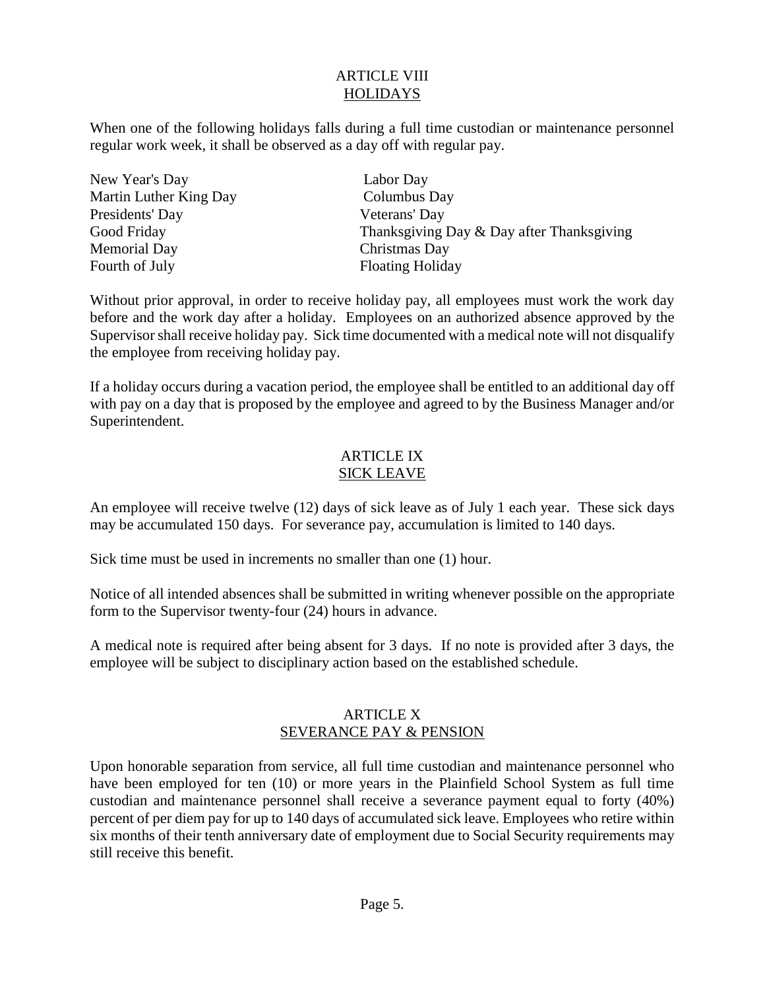# ARTICLE VIII **HOLIDAYS**

When one of the following holidays falls during a full time custodian or maintenance personnel regular work week, it shall be observed as a day off with regular pay.

| New Year's Day         |
|------------------------|
| Martin Luther King Day |
| Presidents' Day        |
| Good Friday            |
| <b>Memorial Day</b>    |
| Fourth of July         |

Labor Day Columbus Day Veterans' Day Thanksgiving Day  $&$  Day after Thanksgiving Christmas Day Floating Holiday

Without prior approval, in order to receive holiday pay, all employees must work the work day before and the work day after a holiday. Employees on an authorized absence approved by the Supervisor shall receive holiday pay. Sick time documented with a medical note will not disqualify the employee from receiving holiday pay.

If a holiday occurs during a vacation period, the employee shall be entitled to an additional day off with pay on a day that is proposed by the employee and agreed to by the Business Manager and/or Superintendent.

# ARTICLE IX SICK LEAVE

An employee will receive twelve (12) days of sick leave as of July 1 each year. These sick days may be accumulated 150 days. For severance pay, accumulation is limited to 140 days.

Sick time must be used in increments no smaller than one (1) hour.

Notice of all intended absences shall be submitted in writing whenever possible on the appropriate form to the Supervisor twenty-four (24) hours in advance.

A medical note is required after being absent for 3 days. If no note is provided after 3 days, the employee will be subject to disciplinary action based on the established schedule.

# ARTICLE X SEVERANCE PAY & PENSION

Upon honorable separation from service, all full time custodian and maintenance personnel who have been employed for ten (10) or more years in the Plainfield School System as full time custodian and maintenance personnel shall receive a severance payment equal to forty (40%) percent of per diem pay for up to 140 days of accumulated sick leave. Employees who retire within six months of their tenth anniversary date of employment due to Social Security requirements may still receive this benefit.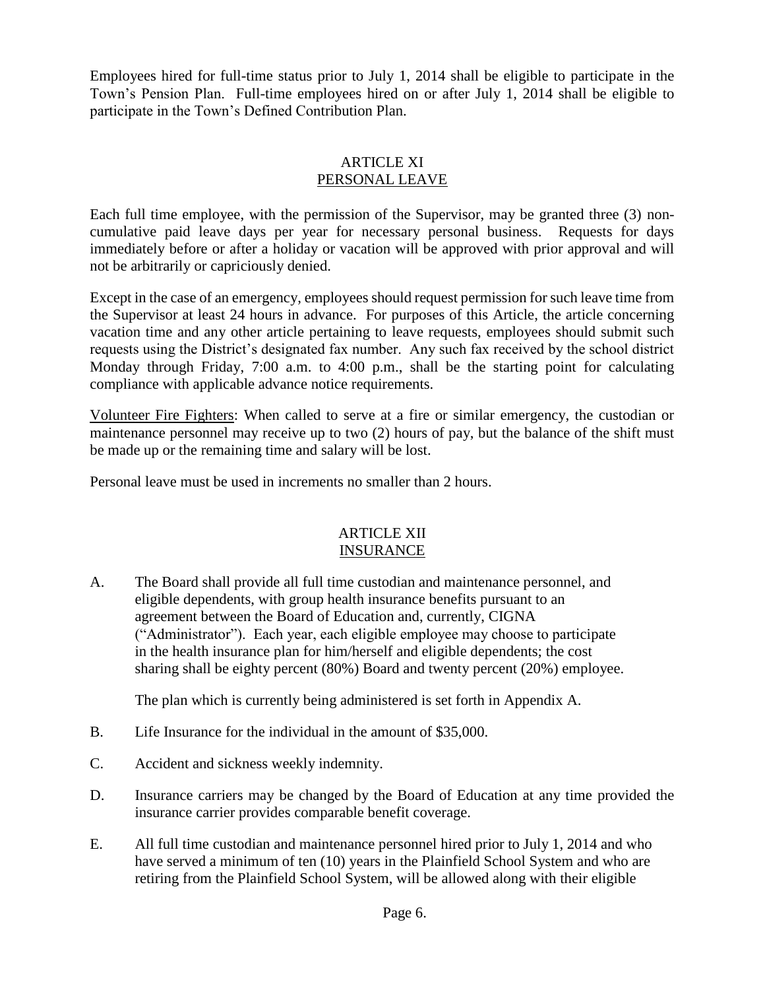Employees hired for full-time status prior to July 1, 2014 shall be eligible to participate in the Town's Pension Plan. Full-time employees hired on or after July 1, 2014 shall be eligible to participate in the Town's Defined Contribution Plan.

## ARTICLE XI PERSONAL LEAVE

Each full time employee, with the permission of the Supervisor, may be granted three (3) noncumulative paid leave days per year for necessary personal business. Requests for days immediately before or after a holiday or vacation will be approved with prior approval and will not be arbitrarily or capriciously denied.

Except in the case of an emergency, employees should request permission for such leave time from the Supervisor at least 24 hours in advance. For purposes of this Article, the article concerning vacation time and any other article pertaining to leave requests, employees should submit such requests using the District's designated fax number. Any such fax received by the school district Monday through Friday, 7:00 a.m. to 4:00 p.m., shall be the starting point for calculating compliance with applicable advance notice requirements.

Volunteer Fire Fighters: When called to serve at a fire or similar emergency, the custodian or maintenance personnel may receive up to two (2) hours of pay, but the balance of the shift must be made up or the remaining time and salary will be lost.

Personal leave must be used in increments no smaller than 2 hours.

## ARTICLE XII INSURANCE

A. The Board shall provide all full time custodian and maintenance personnel, and eligible dependents, with group health insurance benefits pursuant to an agreement between the Board of Education and, currently, CIGNA ("Administrator"). Each year, each eligible employee may choose to participate in the health insurance plan for him/herself and eligible dependents; the cost sharing shall be eighty percent (80%) Board and twenty percent (20%) employee.

The plan which is currently being administered is set forth in Appendix A.

- B. Life Insurance for the individual in the amount of \$35,000.
- C. Accident and sickness weekly indemnity.
- D. Insurance carriers may be changed by the Board of Education at any time provided the insurance carrier provides comparable benefit coverage.
- E. All full time custodian and maintenance personnel hired prior to July 1, 2014 and who have served a minimum of ten (10) years in the Plainfield School System and who are retiring from the Plainfield School System, will be allowed along with their eligible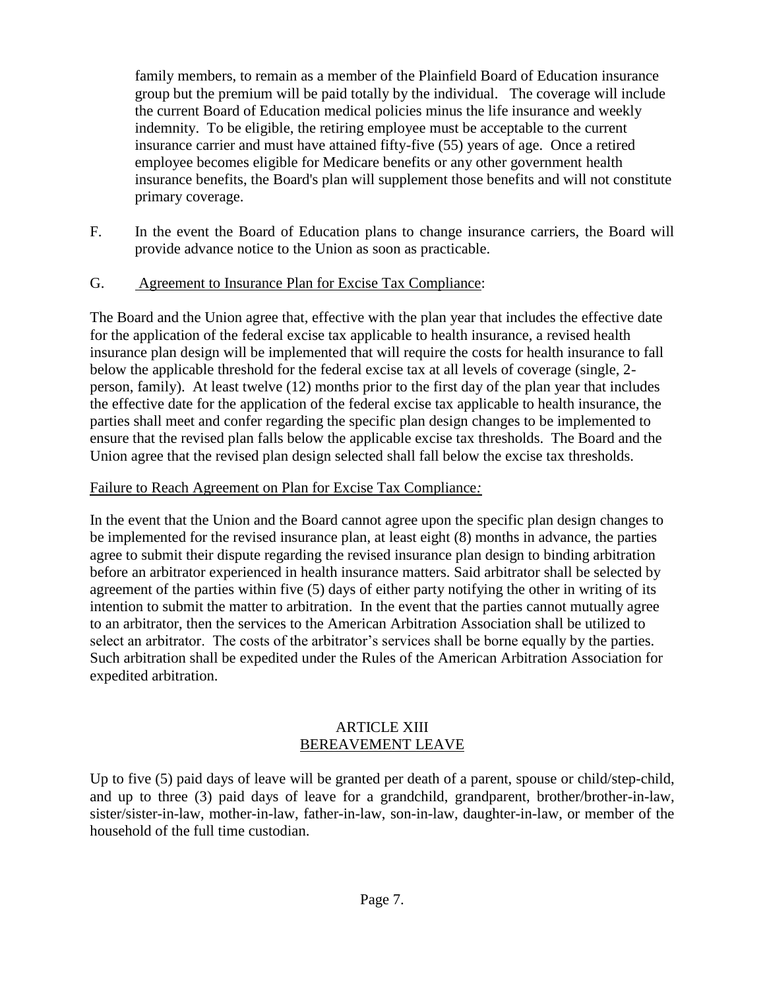family members, to remain as a member of the Plainfield Board of Education insurance group but the premium will be paid totally by the individual. The coverage will include the current Board of Education medical policies minus the life insurance and weekly indemnity. To be eligible, the retiring employee must be acceptable to the current insurance carrier and must have attained fifty-five (55) years of age. Once a retired employee becomes eligible for Medicare benefits or any other government health insurance benefits, the Board's plan will supplement those benefits and will not constitute primary coverage.

F. In the event the Board of Education plans to change insurance carriers, the Board will provide advance notice to the Union as soon as practicable.

# G. Agreement to Insurance Plan for Excise Tax Compliance:

The Board and the Union agree that, effective with the plan year that includes the effective date for the application of the federal excise tax applicable to health insurance, a revised health insurance plan design will be implemented that will require the costs for health insurance to fall below the applicable threshold for the federal excise tax at all levels of coverage (single, 2 person, family). At least twelve (12) months prior to the first day of the plan year that includes the effective date for the application of the federal excise tax applicable to health insurance, the parties shall meet and confer regarding the specific plan design changes to be implemented to ensure that the revised plan falls below the applicable excise tax thresholds. The Board and the Union agree that the revised plan design selected shall fall below the excise tax thresholds.

# Failure to Reach Agreement on Plan for Excise Tax Compliance*:*

In the event that the Union and the Board cannot agree upon the specific plan design changes to be implemented for the revised insurance plan, at least eight (8) months in advance, the parties agree to submit their dispute regarding the revised insurance plan design to binding arbitration before an arbitrator experienced in health insurance matters. Said arbitrator shall be selected by agreement of the parties within five (5) days of either party notifying the other in writing of its intention to submit the matter to arbitration. In the event that the parties cannot mutually agree to an arbitrator, then the services to the American Arbitration Association shall be utilized to select an arbitrator. The costs of the arbitrator's services shall be borne equally by the parties. Such arbitration shall be expedited under the Rules of the American Arbitration Association for expedited arbitration.

#### ARTICLE XIII BEREAVEMENT LEAVE

Up to five (5) paid days of leave will be granted per death of a parent, spouse or child/step-child, and up to three (3) paid days of leave for a grandchild, grandparent, brother/brother-in-law, sister/sister-in-law, mother-in-law, father-in-law, son-in-law, daughter-in-law, or member of the household of the full time custodian.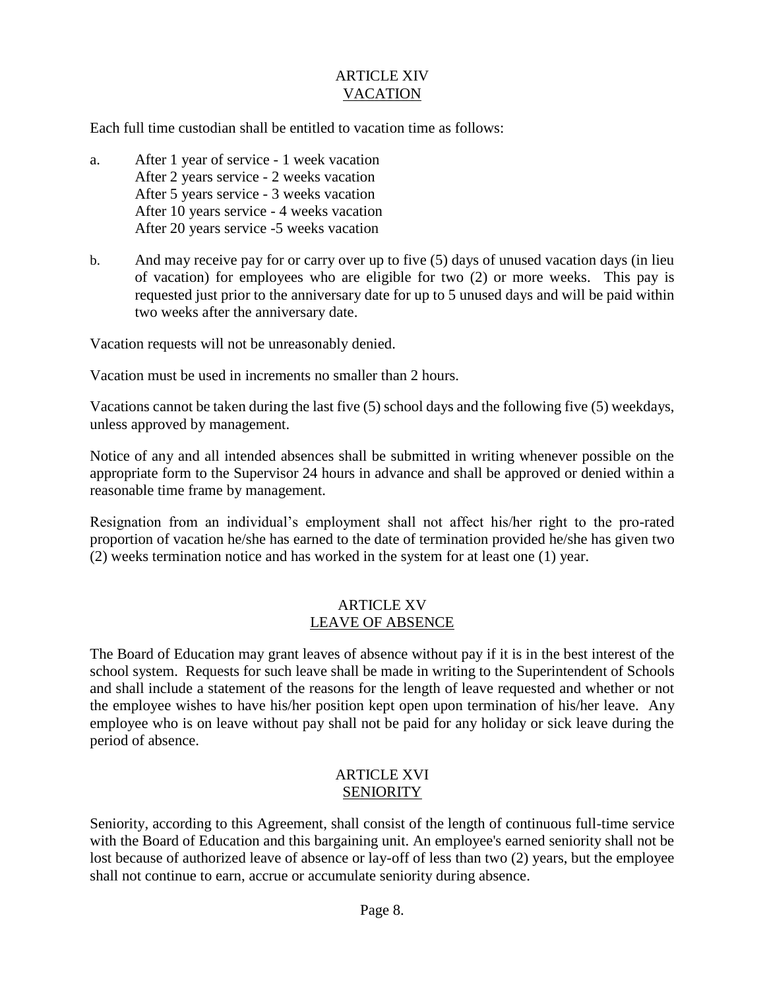# ARTICLE XIV VACATION

Each full time custodian shall be entitled to vacation time as follows:

- a. After 1 year of service 1 week vacation After 2 years service - 2 weeks vacation After 5 years service - 3 weeks vacation After 10 years service - 4 weeks vacation After 20 years service -5 weeks vacation
- b. And may receive pay for or carry over up to five (5) days of unused vacation days (in lieu of vacation) for employees who are eligible for two (2) or more weeks. This pay is requested just prior to the anniversary date for up to 5 unused days and will be paid within two weeks after the anniversary date.

Vacation requests will not be unreasonably denied.

Vacation must be used in increments no smaller than 2 hours.

Vacations cannot be taken during the last five (5) school days and the following five (5) weekdays, unless approved by management.

Notice of any and all intended absences shall be submitted in writing whenever possible on the appropriate form to the Supervisor 24 hours in advance and shall be approved or denied within a reasonable time frame by management.

Resignation from an individual's employment shall not affect his/her right to the pro-rated proportion of vacation he/she has earned to the date of termination provided he/she has given two (2) weeks termination notice and has worked in the system for at least one (1) year.

## ARTICLE XV LEAVE OF ABSENCE

The Board of Education may grant leaves of absence without pay if it is in the best interest of the school system. Requests for such leave shall be made in writing to the Superintendent of Schools and shall include a statement of the reasons for the length of leave requested and whether or not the employee wishes to have his/her position kept open upon termination of his/her leave. Any employee who is on leave without pay shall not be paid for any holiday or sick leave during the period of absence.

## ARTICLE XVI SENIORITY

Seniority, according to this Agreement, shall consist of the length of continuous full-time service with the Board of Education and this bargaining unit. An employee's earned seniority shall not be lost because of authorized leave of absence or lay-off of less than two (2) years, but the employee shall not continue to earn, accrue or accumulate seniority during absence.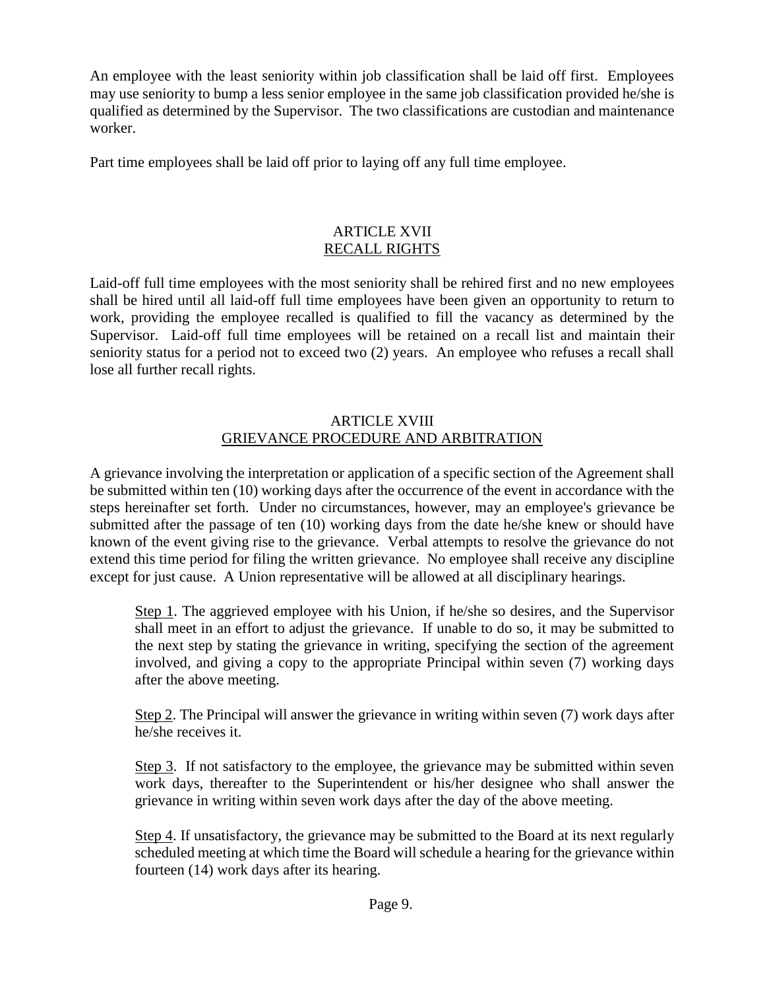An employee with the least seniority within job classification shall be laid off first. Employees may use seniority to bump a less senior employee in the same job classification provided he/she is qualified as determined by the Supervisor. The two classifications are custodian and maintenance worker.

Part time employees shall be laid off prior to laying off any full time employee.

# ARTICLE XVII RECALL RIGHTS

Laid-off full time employees with the most seniority shall be rehired first and no new employees shall be hired until all laid-off full time employees have been given an opportunity to return to work, providing the employee recalled is qualified to fill the vacancy as determined by the Supervisor. Laid-off full time employees will be retained on a recall list and maintain their seniority status for a period not to exceed two (2) years. An employee who refuses a recall shall lose all further recall rights.

# ARTICLE XVIII GRIEVANCE PROCEDURE AND ARBITRATION

A grievance involving the interpretation or application of a specific section of the Agreement shall be submitted within ten (10) working days after the occurrence of the event in accordance with the steps hereinafter set forth. Under no circumstances, however, may an employee's grievance be submitted after the passage of ten (10) working days from the date he/she knew or should have known of the event giving rise to the grievance. Verbal attempts to resolve the grievance do not extend this time period for filing the written grievance. No employee shall receive any discipline except for just cause. A Union representative will be allowed at all disciplinary hearings.

Step 1. The aggrieved employee with his Union, if he/she so desires, and the Supervisor shall meet in an effort to adjust the grievance. If unable to do so, it may be submitted to the next step by stating the grievance in writing, specifying the section of the agreement involved, and giving a copy to the appropriate Principal within seven (7) working days after the above meeting.

Step 2. The Principal will answer the grievance in writing within seven (7) work days after he/she receives it.

Step 3. If not satisfactory to the employee, the grievance may be submitted within seven work days, thereafter to the Superintendent or his/her designee who shall answer the grievance in writing within seven work days after the day of the above meeting.

Step 4. If unsatisfactory, the grievance may be submitted to the Board at its next regularly scheduled meeting at which time the Board will schedule a hearing for the grievance within fourteen (14) work days after its hearing.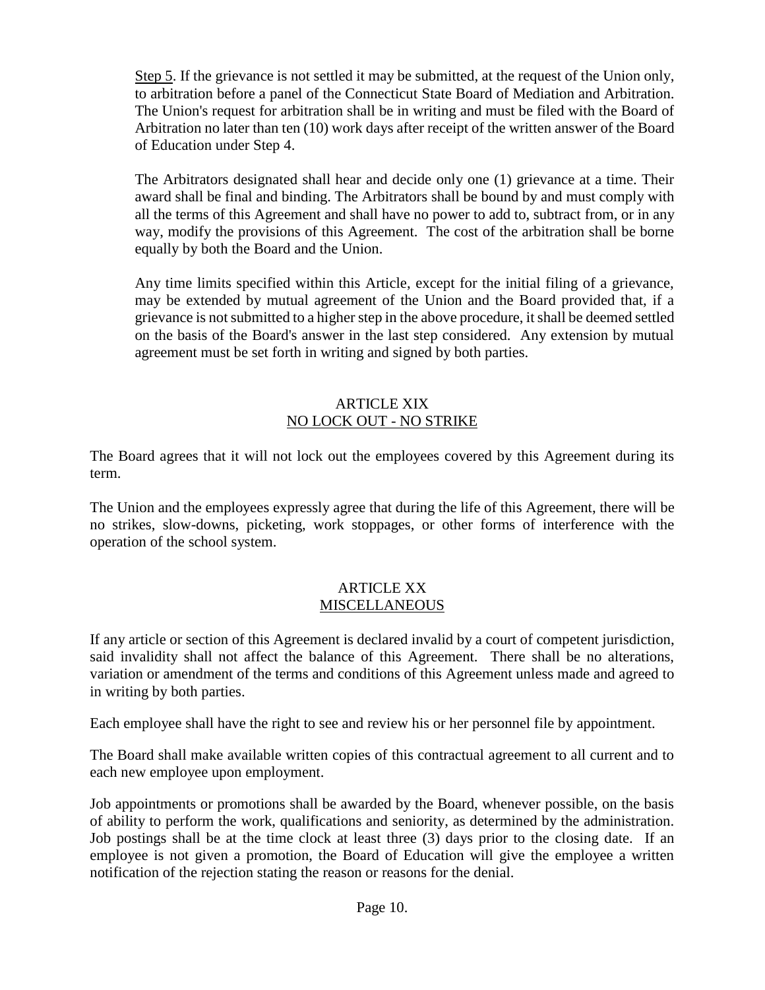Step 5. If the grievance is not settled it may be submitted, at the request of the Union only, to arbitration before a panel of the Connecticut State Board of Mediation and Arbitration. The Union's request for arbitration shall be in writing and must be filed with the Board of Arbitration no later than ten (10) work days after receipt of the written answer of the Board of Education under Step 4.

The Arbitrators designated shall hear and decide only one (1) grievance at a time. Their award shall be final and binding. The Arbitrators shall be bound by and must comply with all the terms of this Agreement and shall have no power to add to, subtract from, or in any way, modify the provisions of this Agreement. The cost of the arbitration shall be borne equally by both the Board and the Union.

Any time limits specified within this Article, except for the initial filing of a grievance, may be extended by mutual agreement of the Union and the Board provided that, if a grievance is not submitted to a higher step in the above procedure, it shall be deemed settled on the basis of the Board's answer in the last step considered. Any extension by mutual agreement must be set forth in writing and signed by both parties.

#### ARTICLE XIX NO LOCK OUT - NO STRIKE

The Board agrees that it will not lock out the employees covered by this Agreement during its term.

The Union and the employees expressly agree that during the life of this Agreement, there will be no strikes, slow-downs, picketing, work stoppages, or other forms of interference with the operation of the school system.

#### ARTICLE XX **MISCELLANEOUS**

If any article or section of this Agreement is declared invalid by a court of competent jurisdiction, said invalidity shall not affect the balance of this Agreement. There shall be no alterations, variation or amendment of the terms and conditions of this Agreement unless made and agreed to in writing by both parties.

Each employee shall have the right to see and review his or her personnel file by appointment.

The Board shall make available written copies of this contractual agreement to all current and to each new employee upon employment.

Job appointments or promotions shall be awarded by the Board, whenever possible, on the basis of ability to perform the work, qualifications and seniority, as determined by the administration. Job postings shall be at the time clock at least three (3) days prior to the closing date. If an employee is not given a promotion, the Board of Education will give the employee a written notification of the rejection stating the reason or reasons for the denial.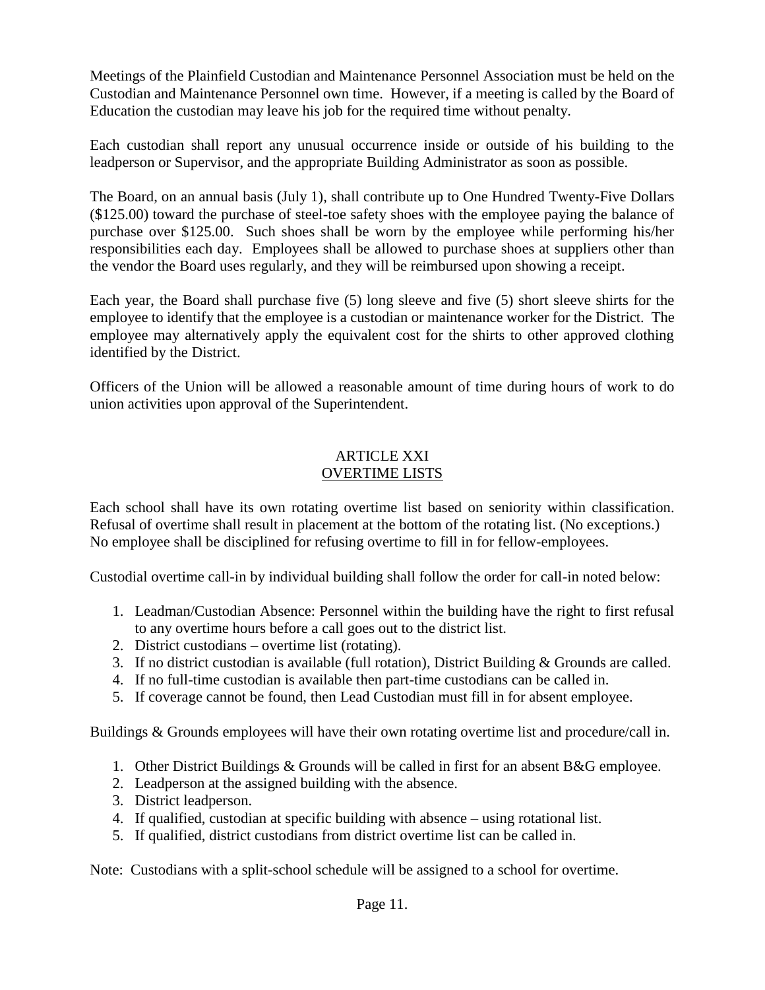Meetings of the Plainfield Custodian and Maintenance Personnel Association must be held on the Custodian and Maintenance Personnel own time. However, if a meeting is called by the Board of Education the custodian may leave his job for the required time without penalty.

Each custodian shall report any unusual occurrence inside or outside of his building to the leadperson or Supervisor, and the appropriate Building Administrator as soon as possible.

The Board, on an annual basis (July 1), shall contribute up to One Hundred Twenty-Five Dollars (\$125.00) toward the purchase of steel-toe safety shoes with the employee paying the balance of purchase over \$125.00. Such shoes shall be worn by the employee while performing his/her responsibilities each day. Employees shall be allowed to purchase shoes at suppliers other than the vendor the Board uses regularly, and they will be reimbursed upon showing a receipt.

Each year, the Board shall purchase five (5) long sleeve and five (5) short sleeve shirts for the employee to identify that the employee is a custodian or maintenance worker for the District. The employee may alternatively apply the equivalent cost for the shirts to other approved clothing identified by the District.

Officers of the Union will be allowed a reasonable amount of time during hours of work to do union activities upon approval of the Superintendent.

# ARTICLE XXI OVERTIME LISTS

Each school shall have its own rotating overtime list based on seniority within classification. Refusal of overtime shall result in placement at the bottom of the rotating list. (No exceptions.) No employee shall be disciplined for refusing overtime to fill in for fellow-employees.

Custodial overtime call-in by individual building shall follow the order for call-in noted below:

- 1. Leadman/Custodian Absence: Personnel within the building have the right to first refusal to any overtime hours before a call goes out to the district list.
- 2. District custodians overtime list (rotating).
- 3. If no district custodian is available (full rotation), District Building & Grounds are called.
- 4. If no full-time custodian is available then part-time custodians can be called in.
- 5. If coverage cannot be found, then Lead Custodian must fill in for absent employee.

Buildings & Grounds employees will have their own rotating overtime list and procedure/call in.

- 1. Other District Buildings & Grounds will be called in first for an absent B&G employee.
- 2. Leadperson at the assigned building with the absence.
- 3. District leadperson.
- 4. If qualified, custodian at specific building with absence using rotational list.
- 5. If qualified, district custodians from district overtime list can be called in.

Note: Custodians with a split-school schedule will be assigned to a school for overtime.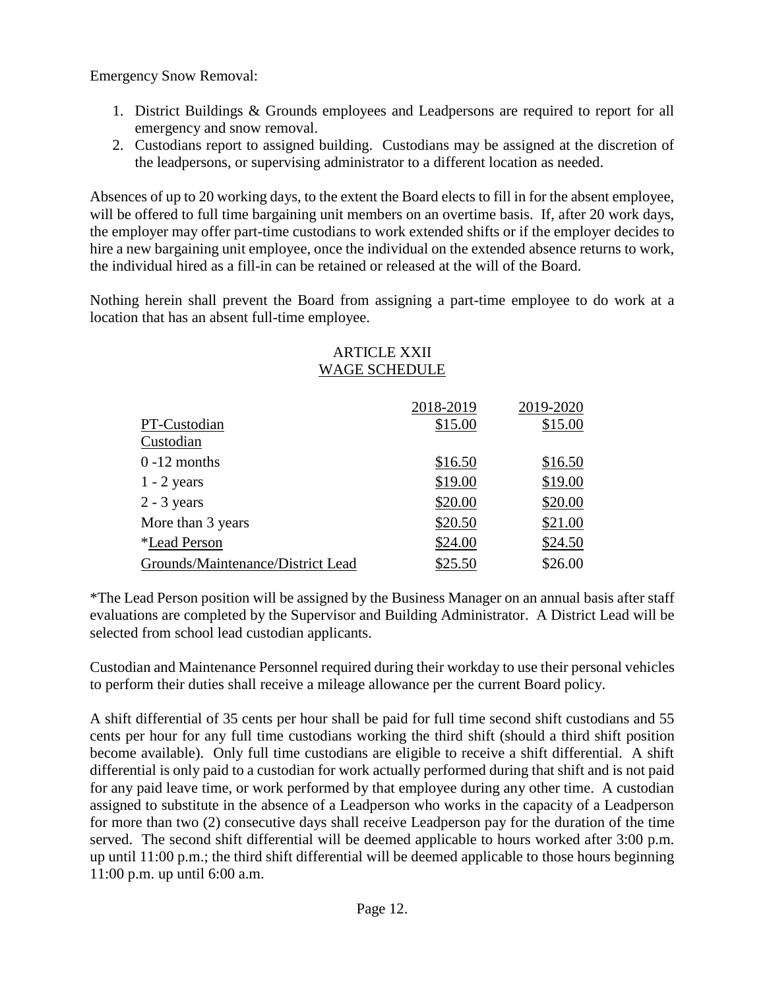Emergency Snow Removal:

- 1. District Buildings & Grounds employees and Leadpersons are required to report for all emergency and snow removal.
- 2. Custodians report to assigned building. Custodians may be assigned at the discretion of the leadpersons, or supervising administrator to a different location as needed.

Absences of up to 20 working days, to the extent the Board elects to fill in for the absent employee, will be offered to full time bargaining unit members on an overtime basis. If, after 20 work days, the employer may offer part-time custodians to work extended shifts or if the employer decides to hire a new bargaining unit employee, once the individual on the extended absence returns to work, the individual hired as a fill-in can be retained or released at the will of the Board.

Nothing herein shall prevent the Board from assigning a part-time employee to do work at a location that has an absent full-time employee.

# WAGE SCHEDULE 2018-2019 2019-2020 PT-Custodian \$15.00 \$15.00 Custodian 0 -12 months \$16.50 \$16.50 1 - 2 years \$19.00 \$19.00 2 - 3 years \$20.00 \$20.00 More than 3 years \$20.50 \$21.00 \*Lead Person \$24.00 \$24.50 Grounds/Maintenance/District Lead \$25.50 \$26.00

# ARTICLE XXII

\*The Lead Person position will be assigned by the Business Manager on an annual basis after staff evaluations are completed by the Supervisor and Building Administrator. A District Lead will be selected from school lead custodian applicants.

Custodian and Maintenance Personnel required during their workday to use their personal vehicles to perform their duties shall receive a mileage allowance per the current Board policy.

A shift differential of 35 cents per hour shall be paid for full time second shift custodians and 55 cents per hour for any full time custodians working the third shift (should a third shift position become available). Only full time custodians are eligible to receive a shift differential. A shift differential is only paid to a custodian for work actually performed during that shift and is not paid for any paid leave time, or work performed by that employee during any other time. A custodian assigned to substitute in the absence of a Leadperson who works in the capacity of a Leadperson for more than two (2) consecutive days shall receive Leadperson pay for the duration of the time served. The second shift differential will be deemed applicable to hours worked after 3:00 p.m. up until 11:00 p.m.; the third shift differential will be deemed applicable to those hours beginning 11:00 p.m. up until 6:00 a.m.